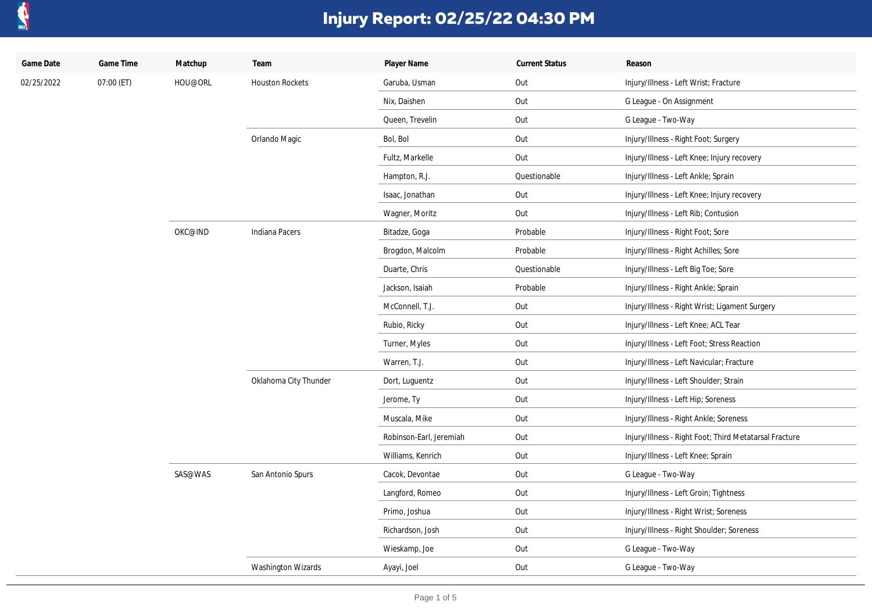

| Game Date  | Game Time  | Matchup | Team                   | Player Name             | <b>Current Status</b> | Reason                                                 |
|------------|------------|---------|------------------------|-------------------------|-----------------------|--------------------------------------------------------|
| 02/25/2022 | 07:00 (ET) | HOU@ORL | <b>Houston Rockets</b> | Garuba, Usman           | Out                   | Injury/Illness - Left Wrist; Fracture                  |
|            |            |         |                        | Nix, Daishen            | Out                   | G League - On Assignment                               |
|            |            |         |                        | Queen, Trevelin         | Out                   | G League - Two-Way                                     |
|            |            |         | Orlando Magic          | Bol, Bol                | Out                   | Injury/Illness - Right Foot; Surgery                   |
|            |            |         |                        | Fultz, Markelle         | Out                   | Injury/Illness - Left Knee; Injury recovery            |
|            |            |         |                        | Hampton, R.J.           | Questionable          | Injury/Illness - Left Ankle; Sprain                    |
|            |            |         |                        | Isaac, Jonathan         | Out                   | Injury/Illness - Left Knee; Injury recovery            |
|            |            |         |                        | Wagner, Moritz          | Out                   | Injury/Illness - Left Rib; Contusion                   |
|            |            | OKC@IND | Indiana Pacers         | Bitadze, Goga           | Probable              | Injury/Illness - Right Foot; Sore                      |
|            |            |         |                        | Brogdon, Malcolm        | Probable              | Injury/Illness - Right Achilles; Sore                  |
|            |            |         |                        | Duarte, Chris           | Questionable          | Injury/Illness - Left Big Toe; Sore                    |
|            |            |         |                        | Jackson, Isaiah         | Probable              | Injury/Illness - Right Ankle; Sprain                   |
|            |            |         |                        | McConnell, T.J.         | Out                   | Injury/Illness - Right Wrist; Ligament Surgery         |
|            |            |         |                        | Rubio, Ricky            | Out                   | Injury/Illness - Left Knee; ACL Tear                   |
|            |            |         |                        | Turner, Myles           | Out                   | Injury/Illness - Left Foot; Stress Reaction            |
|            |            |         |                        | Warren, T.J.            | Out                   | Injury/Illness - Left Navicular; Fracture              |
|            |            |         | Oklahoma City Thunder  | Dort, Luguentz          | Out                   | Injury/Illness - Left Shoulder; Strain                 |
|            |            |         |                        | Jerome, Ty              | Out                   | Injury/Illness - Left Hip; Soreness                    |
|            |            |         |                        | Muscala, Mike           | Out                   | Injury/Illness - Right Ankle; Soreness                 |
|            |            |         |                        | Robinson-Earl, Jeremiah | Out                   | Injury/Illness - Right Foot; Third Metatarsal Fracture |
|            |            |         |                        | Williams, Kenrich       | Out                   | Injury/Illness - Left Knee; Sprain                     |
|            |            | SAS@WAS | San Antonio Spurs      | Cacok, Devontae         | Out                   | G League - Two-Way                                     |
|            |            |         |                        | Langford, Romeo         | Out                   | Injury/Illness - Left Groin; Tightness                 |
|            |            |         |                        | Primo, Joshua           | Out                   | Injury/Illness - Right Wrist; Soreness                 |
|            |            |         |                        | Richardson, Josh        | Out                   | Injury/Illness - Right Shoulder; Soreness              |
|            |            |         |                        | Wieskamp, Joe           | Out                   | G League - Two-Way                                     |
|            |            |         | Washington Wizards     | Ayayi, Joel             | Out                   | G League - Two-Way                                     |
|            |            |         |                        |                         |                       |                                                        |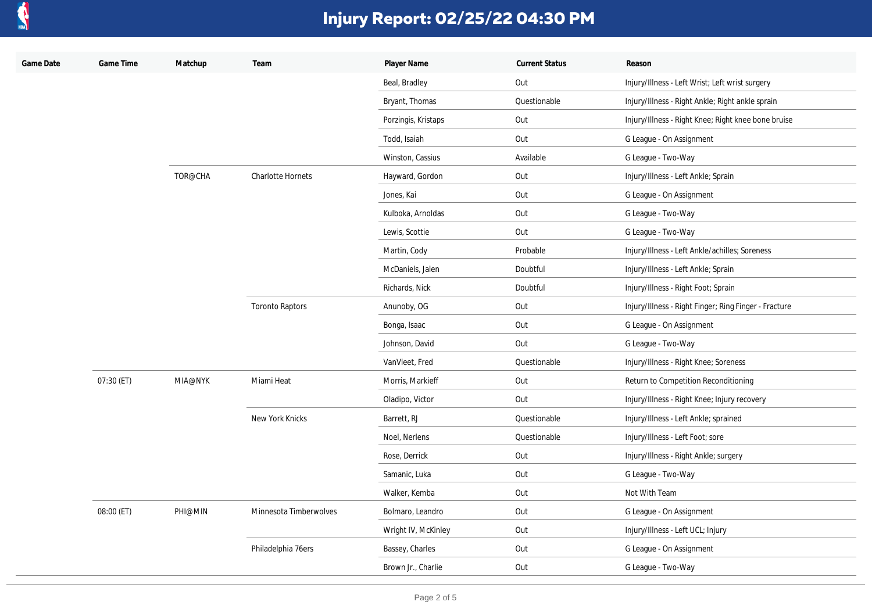

| Game Date | Game Time  | Matchup | Team                     | Player Name         | <b>Current Status</b> | Reason                                                |
|-----------|------------|---------|--------------------------|---------------------|-----------------------|-------------------------------------------------------|
|           |            |         |                          | Beal, Bradley       | Out                   | Injury/Illness - Left Wrist; Left wrist surgery       |
|           |            |         |                          | Bryant, Thomas      | Questionable          | Injury/Illness - Right Ankle; Right ankle sprain      |
|           |            |         |                          | Porzingis, Kristaps | Out                   | Injury/Illness - Right Knee; Right knee bone bruise   |
|           |            |         |                          | Todd, Isaiah        | Out                   | G League - On Assignment                              |
|           |            |         |                          | Winston, Cassius    | Available             | G League - Two-Way                                    |
|           |            | TOR@CHA | <b>Charlotte Hornets</b> | Hayward, Gordon     | Out                   | Injury/Illness - Left Ankle; Sprain                   |
|           |            |         |                          | Jones, Kai          | Out                   | G League - On Assignment                              |
|           |            |         |                          | Kulboka, Arnoldas   | Out                   | G League - Two-Way                                    |
|           |            |         |                          | Lewis, Scottie      | Out                   | G League - Two-Way                                    |
|           |            |         |                          | Martin, Cody        | Probable              | Injury/Illness - Left Ankle/achilles; Soreness        |
|           |            |         |                          | McDaniels, Jalen    | Doubtful              | Injury/Illness - Left Ankle; Sprain                   |
|           |            |         |                          | Richards, Nick      | Doubtful              | Injury/Illness - Right Foot; Sprain                   |
|           |            |         | <b>Toronto Raptors</b>   | Anunoby, OG         | Out                   | Injury/Illness - Right Finger; Ring Finger - Fracture |
|           |            |         |                          | Bonga, Isaac        | Out                   | G League - On Assignment                              |
|           |            |         |                          | Johnson, David      | Out                   | G League - Two-Way                                    |
|           |            |         |                          | VanVleet, Fred      | Questionable          | Injury/Illness - Right Knee; Soreness                 |
|           | 07:30 (ET) | MIA@NYK | Miami Heat               | Morris, Markieff    | Out                   | Return to Competition Reconditioning                  |
|           |            |         |                          | Oladipo, Victor     | Out                   | Injury/Illness - Right Knee; Injury recovery          |
|           |            |         | New York Knicks          | Barrett, RJ         | Questionable          | Injury/Illness - Left Ankle; sprained                 |
|           |            |         |                          | Noel, Nerlens       | Questionable          | Injury/Illness - Left Foot; sore                      |
|           |            |         |                          | Rose, Derrick       | Out                   | Injury/Illness - Right Ankle; surgery                 |
|           |            |         |                          | Samanic, Luka       | Out                   | G League - Two-Way                                    |
|           |            |         |                          | Walker, Kemba       | Out                   | Not With Team                                         |
|           | 08:00 (ET) | PHI@MIN | Minnesota Timberwolves   | Bolmaro, Leandro    | Out                   | G League - On Assignment                              |
|           |            |         |                          | Wright IV, McKinley | Out                   | Injury/Illness - Left UCL; Injury                     |
|           |            |         | Philadelphia 76ers       | Bassey, Charles     | Out                   | G League - On Assignment                              |
|           |            |         |                          | Brown Jr., Charlie  | Out                   | G League - Two-Way                                    |
|           |            |         |                          |                     |                       |                                                       |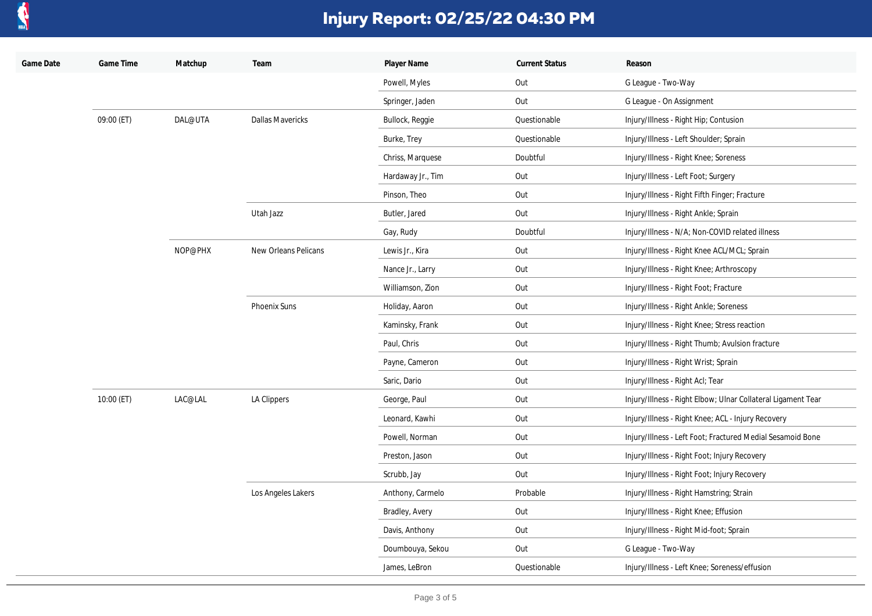

| Game Date | Game Time  | Matchup | Team                    | Player Name       | <b>Current Status</b> | Reason                                                       |
|-----------|------------|---------|-------------------------|-------------------|-----------------------|--------------------------------------------------------------|
|           |            |         |                         | Powell, Myles     | Out                   | G League - Two-Way                                           |
|           |            |         |                         | Springer, Jaden   | Out                   | G League - On Assignment                                     |
|           | 09:00 (ET) | DAL@UTA | <b>Dallas Mavericks</b> | Bullock, Reggie   | Questionable          | Injury/Illness - Right Hip; Contusion                        |
|           |            |         |                         | Burke, Trey       | Questionable          | Injury/Illness - Left Shoulder; Sprain                       |
|           |            |         |                         | Chriss, Marquese  | Doubtful              | Injury/Illness - Right Knee; Soreness                        |
|           |            |         |                         | Hardaway Jr., Tim | Out                   | Injury/Illness - Left Foot; Surgery                          |
|           |            |         |                         | Pinson, Theo      | Out                   | Injury/Illness - Right Fifth Finger; Fracture                |
|           |            |         | Utah Jazz               | Butler, Jared     | Out                   | Injury/Illness - Right Ankle; Sprain                         |
|           |            |         |                         | Gay, Rudy         | Doubtful              | Injury/Illness - N/A; Non-COVID related illness              |
|           |            | NOP@PHX | New Orleans Pelicans    | Lewis Jr., Kira   | Out                   | Injury/Illness - Right Knee ACL/MCL; Sprain                  |
|           |            |         |                         | Nance Jr., Larry  | Out                   | Injury/Illness - Right Knee; Arthroscopy                     |
|           |            |         |                         | Williamson, Zion  | Out                   | Injury/Illness - Right Foot; Fracture                        |
|           |            |         | <b>Phoenix Suns</b>     | Holiday, Aaron    | Out                   | Injury/Illness - Right Ankle; Soreness                       |
|           |            |         |                         | Kaminsky, Frank   | Out                   | Injury/Illness - Right Knee; Stress reaction                 |
|           |            |         |                         | Paul, Chris       | Out                   | Injury/Illness - Right Thumb; Avulsion fracture              |
|           |            |         |                         | Payne, Cameron    | Out                   | Injury/Illness - Right Wrist; Sprain                         |
|           |            |         |                         | Saric, Dario      | Out                   | Injury/Illness - Right Acl; Tear                             |
|           | 10:00 (ET) | LAC@LAL | <b>LA Clippers</b>      | George, Paul      | Out                   | Injury/Illness - Right Elbow; Ulnar Collateral Ligament Tear |
|           |            |         |                         | Leonard, Kawhi    | Out                   | Injury/Illness - Right Knee; ACL - Injury Recovery           |
|           |            |         |                         | Powell, Norman    | Out                   | Injury/Illness - Left Foot; Fractured Medial Sesamoid Bone   |
|           |            |         |                         | Preston, Jason    | Out                   | Injury/Illness - Right Foot; Injury Recovery                 |
|           |            |         |                         | Scrubb, Jay       | Out                   | Injury/Illness - Right Foot; Injury Recovery                 |
|           |            |         | Los Angeles Lakers      | Anthony, Carmelo  | Probable              | Injury/Illness - Right Hamstring; Strain                     |
|           |            |         |                         | Bradley, Avery    | Out                   | Injury/Illness - Right Knee; Effusion                        |
|           |            |         |                         | Davis, Anthony    | Out                   | Injury/Illness - Right Mid-foot; Sprain                      |
|           |            |         |                         | Doumbouya, Sekou  | Out                   | G League - Two-Way                                           |
|           |            |         |                         | James, LeBron     | Questionable          | Injury/Illness - Left Knee; Soreness/effusion                |
|           |            |         |                         |                   |                       |                                                              |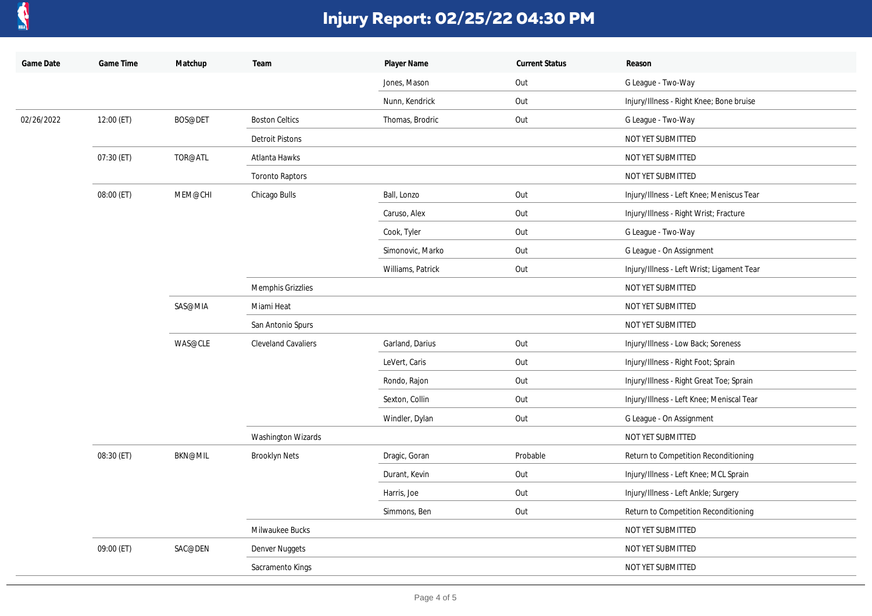

| Game Date  | Game Time  | Matchup        | Team                       | Player Name       | <b>Current Status</b> | Reason                                     |
|------------|------------|----------------|----------------------------|-------------------|-----------------------|--------------------------------------------|
|            |            |                |                            | Jones, Mason      | Out                   | G League - Two-Way                         |
|            |            |                |                            | Nunn, Kendrick    | Out                   | Injury/Illness - Right Knee; Bone bruise   |
| 02/26/2022 | 12:00 (ET) | BOS@DET        | <b>Boston Celtics</b>      | Thomas, Brodric   | Out                   | G League - Two-Way                         |
|            |            |                | <b>Detroit Pistons</b>     |                   |                       | NOT YET SUBMITTED                          |
|            | 07:30 (ET) | TOR@ATL        | Atlanta Hawks              |                   |                       | NOT YET SUBMITTED                          |
|            |            |                | <b>Toronto Raptors</b>     |                   |                       | NOT YET SUBMITTED                          |
|            | 08:00 (ET) | MEM@CHI        | Chicago Bulls              | Ball, Lonzo       | Out                   | Injury/Illness - Left Knee; Meniscus Tear  |
|            |            |                |                            | Caruso, Alex      | Out                   | Injury/Illness - Right Wrist; Fracture     |
|            |            |                |                            | Cook, Tyler       | Out                   | G League - Two-Way                         |
|            |            |                |                            | Simonovic, Marko  | Out                   | G League - On Assignment                   |
|            |            |                |                            | Williams, Patrick | Out                   | Injury/Illness - Left Wrist; Ligament Tear |
|            |            |                | Memphis Grizzlies          |                   |                       | NOT YET SUBMITTED                          |
|            |            | SAS@MIA        | Miami Heat                 |                   |                       | NOT YET SUBMITTED                          |
|            |            |                | San Antonio Spurs          |                   |                       | NOT YET SUBMITTED                          |
|            |            | WAS@CLE        | <b>Cleveland Cavaliers</b> | Garland, Darius   | Out                   | Injury/Illness - Low Back; Soreness        |
|            |            |                |                            | LeVert, Caris     | Out                   | Injury/Illness - Right Foot; Sprain        |
|            |            |                |                            | Rondo, Rajon      | Out                   | Injury/Illness - Right Great Toe; Sprain   |
|            |            |                |                            | Sexton, Collin    | Out                   | Injury/Illness - Left Knee; Meniscal Tear  |
|            |            |                |                            | Windler, Dylan    | Out                   | G League - On Assignment                   |
|            |            |                | <b>Washington Wizards</b>  |                   |                       | NOT YET SUBMITTED                          |
|            | 08:30 (ET) | <b>BKN@MIL</b> | <b>Brooklyn Nets</b>       | Dragic, Goran     | Probable              | Return to Competition Reconditioning       |
|            |            |                |                            | Durant, Kevin     | Out                   | Injury/Illness - Left Knee; MCL Sprain     |
|            |            |                |                            | Harris, Joe       | Out                   | Injury/Illness - Left Ankle; Surgery       |
|            |            |                |                            | Simmons, Ben      | Out                   | Return to Competition Reconditioning       |
|            |            |                | Milwaukee Bucks            |                   |                       | NOT YET SUBMITTED                          |
|            | 09:00 (ET) | SAC@DEN        | Denver Nuggets             |                   |                       | NOT YET SUBMITTED                          |
|            |            |                | Sacramento Kings           |                   |                       | NOT YET SUBMITTED                          |
|            |            |                |                            |                   |                       |                                            |